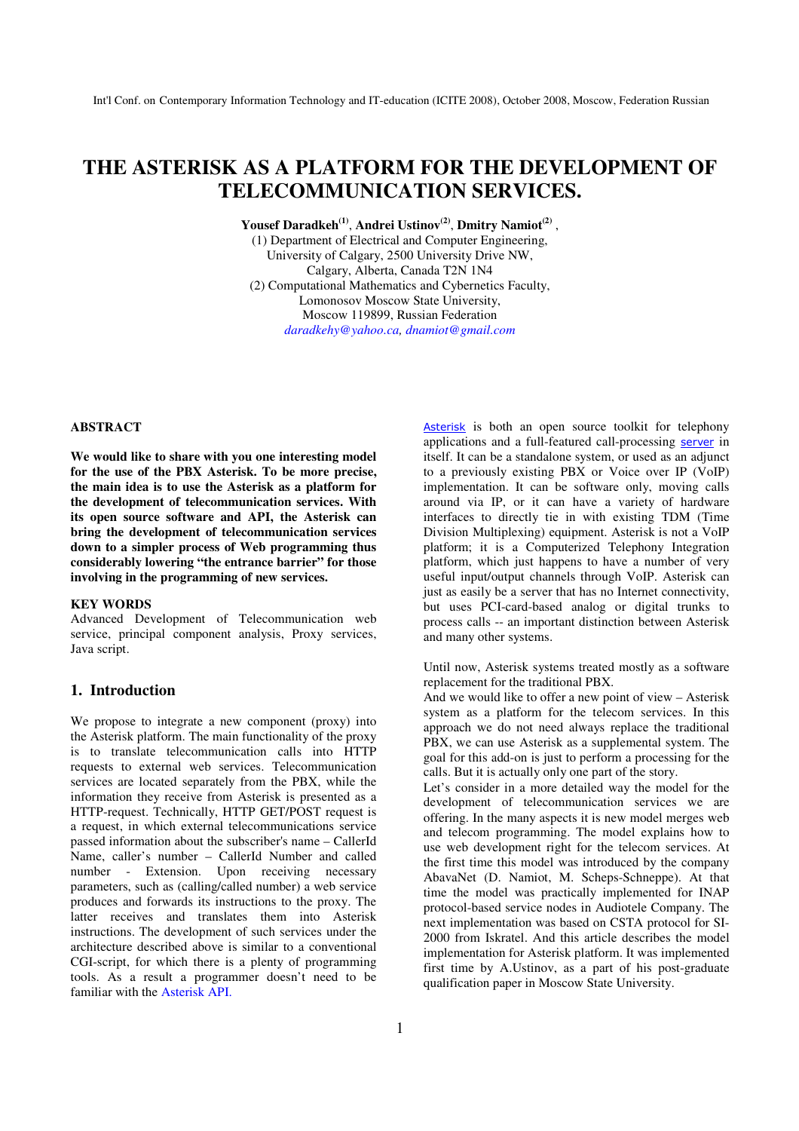# **THE ASTERISK AS A PLATFORM FOR THE DEVELOPMENT OF TELECOMMUNICATION SERVICES.**

**Yousef Daradkeh(1)** , **Andrei Ustinov(2)** , **Dmitry Namiot(2)** ,

(1) Department of Electrical and Computer Engineering, University of Calgary, 2500 University Drive NW, Calgary, Alberta, Canada T2N 1N4 (2) Computational Mathematics and Cybernetics Faculty, Lomonosov Moscow State University, Moscow 119899, Russian Federation *daradkehy@yahoo.ca, dnamiot@gmail.com* 

#### **ABSTRACT**

**We would like to share with you one interesting model for the use of the PBX Asterisk. To be more precise, the main idea is to use the Asterisk as a platform for the development of telecommunication services. With its open source software and API, the Asterisk can bring the development of telecommunication services down to a simpler process of Web programming thus considerably lowering "the entrance barrier" for those involving in the programming of new services.** 

#### **KEY WORDS**

Advanced Development of Telecommunication web service, principal component analysis, Proxy services, Java script.

#### **1. Introduction**

We propose to integrate a new component (proxy) into the Asterisk platform. The main functionality of the proxy is to translate telecommunication calls into HTTP requests to external web services. Telecommunication services are located separately from the PBX, while the information they receive from Asterisk is presented as a HTTP-request. Technically, HTTP GET/POST request is a request, in which external telecommunications service passed information about the subscriber's name – CallerId Name, caller's number – CallerId Number and called number - Extension. Upon receiving necessary parameters, such as (calling/called number) a web service produces and forwards its instructions to the proxy. The latter receives and translates them into Asterisk instructions. The development of such services under the architecture described above is similar to a conventional CGI-script, for which there is a plenty of programming tools. As a result a programmer doesn't need to be familiar with the Asterisk API.

Asterisk is both an open source toolkit for telephony applications and a full-featured call-processing server in itself. It can be a standalone system, or used as an adjunct to a previously existing PBX or Voice over IP (VoIP) implementation. It can be software only, moving calls around via IP, or it can have a variety of hardware interfaces to directly tie in with existing TDM (Time Division Multiplexing) equipment. Asterisk is not a VoIP platform; it is a Computerized Telephony Integration platform, which just happens to have a number of very useful input/output channels through VoIP. Asterisk can just as easily be a server that has no Internet connectivity, but uses PCI-card-based analog or digital trunks to process calls -- an important distinction between Asterisk and many other systems.

Until now, Asterisk systems treated mostly as a software replacement for the traditional PBX.

And we would like to offer a new point of view – Asterisk system as a platform for the telecom services. In this approach we do not need always replace the traditional PBX, we can use Asterisk as a supplemental system. The goal for this add-on is just to perform a processing for the calls. But it is actually only one part of the story.

Let's consider in a more detailed way the model for the development of telecommunication services we are offering. In the many aspects it is new model merges web and telecom programming. The model explains how to use web development right for the telecom services. At the first time this model was introduced by the company AbavaNet (D. Namiot, M. Scheps-Schneppe). At that time the model was practically implemented for INAP protocol-based service nodes in Audiotele Company. The next implementation was based on CSTA protocol for SI-2000 from Iskratel. And this article describes the model implementation for Asterisk platform. It was implemented first time by A.Ustinov, as a part of his post-graduate qualification paper in Moscow State University.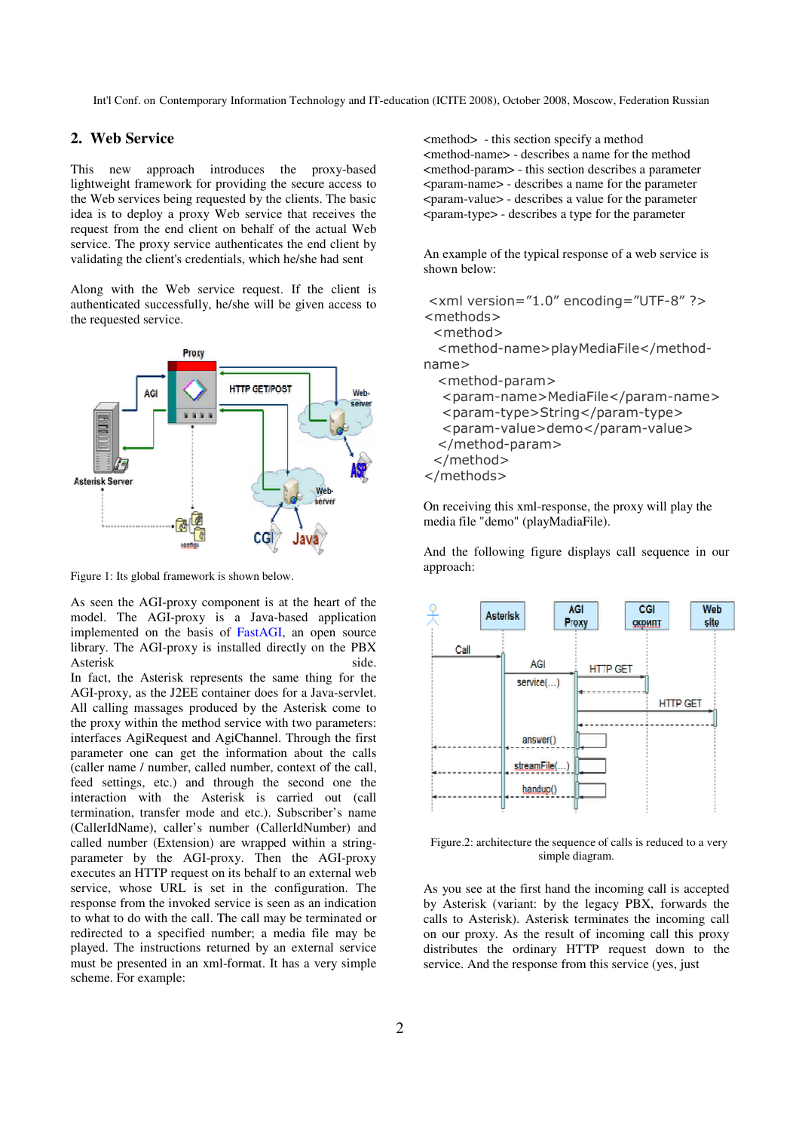Int'l Conf. on Contemporary Information Technology and IT-education (ICITE 2008), October 2008, Moscow, Federation Russian

# **2. Web Service**

This new approach introduces the proxy-based lightweight framework for providing the secure access to the Web services being requested by the clients. The basic idea is to deploy a proxy Web service that receives the request from the end client on behalf of the actual Web service. The proxy service authenticates the end client by validating the client's credentials, which he/she had sent

Along with the Web service request. If the client is authenticated successfully, he/she will be given access to the requested service.



Figure 1: Its global framework is shown below.

As seen the AGI-proxy component is at the heart of the model. The AGI-proxy is a Java-based application implemented on the basis of FastAGI, an open source library. The AGI-proxy is installed directly on the PBX Asterisk side.

In fact, the Asterisk represents the same thing for the AGI-proxy, as the J2EE container does for a Java-servlet. All calling massages produced by the Asterisk come to the proxy within the method service with two parameters: interfaces AgiRequest and AgiChannel. Through the first parameter one can get the information about the calls (caller name / number, called number, context of the call, feed settings, etc.) and through the second one the interaction with the Asterisk is carried out (call termination, transfer mode and etc.). Subscriber's name (CallerIdName), caller's number (CallerIdNumber) and called number (Extension) are wrapped within a stringparameter by the AGI-proxy. Then the AGI-proxy executes an HTTP request on its behalf to an external web service, whose URL is set in the configuration. The response from the invoked service is seen as an indication to what to do with the call. The call may be terminated or redirected to a specified number; a media file may be played. The instructions returned by an external service must be presented in an xml-format. It has a very simple scheme. For example:

<method> - this section specify a method <method-name> - describes a name for the method <method-param> - this section describes a parameter <param-name> - describes a name for the parameter <param-value> - describes a value for the parameter <param-type> - describes a type for the parameter

An example of the typical response of a web service is shown below:

```
 <xml version="1.0" encoding="UTF-8" ?> 
<methods> 
  <method> 
  <method-name>playMediaFile</method-
name> 
   <method-param> 
   <param-name>MediaFile</param-name> 
   <param-type>String</param-type> 
   <param-value>demo</param-value> 
  </method-param> 
  </method> 
</methods>
```
On receiving this xml-response, the proxy will play the media file "demo" (playMadiaFile).

And the following figure displays call sequence in our approach:



 Figure.2: architecture the sequence of calls is reduced to a very simple diagram.

As you see at the first hand the incoming call is accepted by Asterisk (variant: by the legacy PBX, forwards the calls to Asterisk). Asterisk terminates the incoming call on our proxy. As the result of incoming call this proxy distributes the ordinary HTTP request down to the service. And the response from this service (yes, just